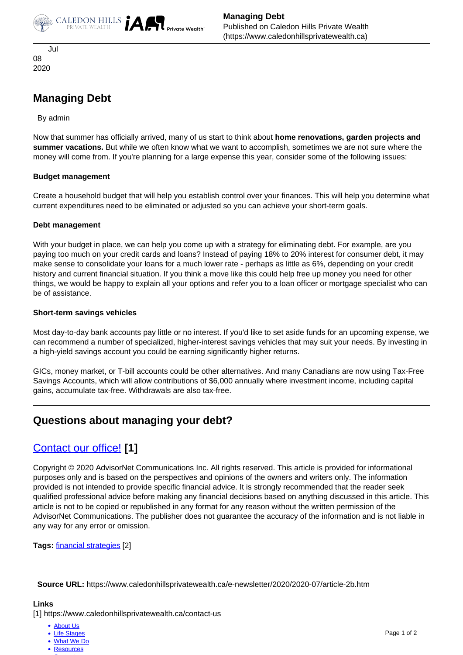



 Jul 08 2020

# **Managing Debt**

By admin

Now that summer has officially arrived, many of us start to think about **home renovations, garden projects and summer vacations.** But while we often know what we want to accomplish, sometimes we are not sure where the money will come from. If you're planning for a large expense this year, consider some of the following issues:

### **Budget management**

Create a household budget that will help you establish control over your finances. This will help you determine what current expenditures need to be eliminated or adjusted so you can achieve your short-term goals.

#### **Debt management**

With your budget in place, we can help you come up with a strategy for eliminating debt. For example, are you paying too much on your credit cards and loans? Instead of paying 18% to 20% interest for consumer debt, it may make sense to consolidate your loans for a much lower rate - perhaps as little as 6%, depending on your credit history and current financial situation. If you think a move like this could help free up money you need for other things, we would be happy to explain all your options and refer you to a loan officer or mortgage specialist who can be of assistance.

#### **Short-term savings vehicles**

Most day-to-day bank accounts pay little or no interest. If you'd like to set aside funds for an upcoming expense, we can recommend a number of specialized, higher-interest savings vehicles that may suit your needs. By investing in a high-yield savings account you could be earning significantly higher returns.

GICs, money market, or T-bill accounts could be other alternatives. And many Canadians are now using Tax-Free Savings Accounts, which will allow contributions of \$6,000 annually where investment income, including capital gains, accumulate tax-free. Withdrawals are also tax-free.

## **Questions about managing your debt?**

## [Contact our office!](https://www.caledonhillsprivatewealth.ca/contact-us) **[1]**

Copyright © 2020 AdvisorNet Communications Inc. All rights reserved. This article is provided for informational purposes only and is based on the perspectives and opinions of the owners and writers only. The information provided is not intended to provide specific financial advice. It is strongly recommended that the reader seek qualified professional advice before making any financial decisions based on anything discussed in this article. This article is not to be copied or republished in any format for any reason without the written permission of the AdvisorNet Communications. The publisher does not guarantee the accuracy of the information and is not liable in any way for any error or omission.

**Tags:** [financial strategies](https://www.caledonhillsprivatewealth.ca/taxonomy/term/2) [2]

**Source URL:** https://www.caledonhillsprivatewealth.ca/e-newsletter/2020/2020-07/article-2b.htm

#### **Links**

[1] https://www.caledonhillsprivatewealth.ca/contact-us

- [About Us](https://www.caledonhillsprivatewealth.ca/about-us)
- [Life Stages](https://www.caledonhillsprivatewealth.ca/life-stages)
- [What We Do](https://www.caledonhillsprivatewealth.ca/what-we-do)